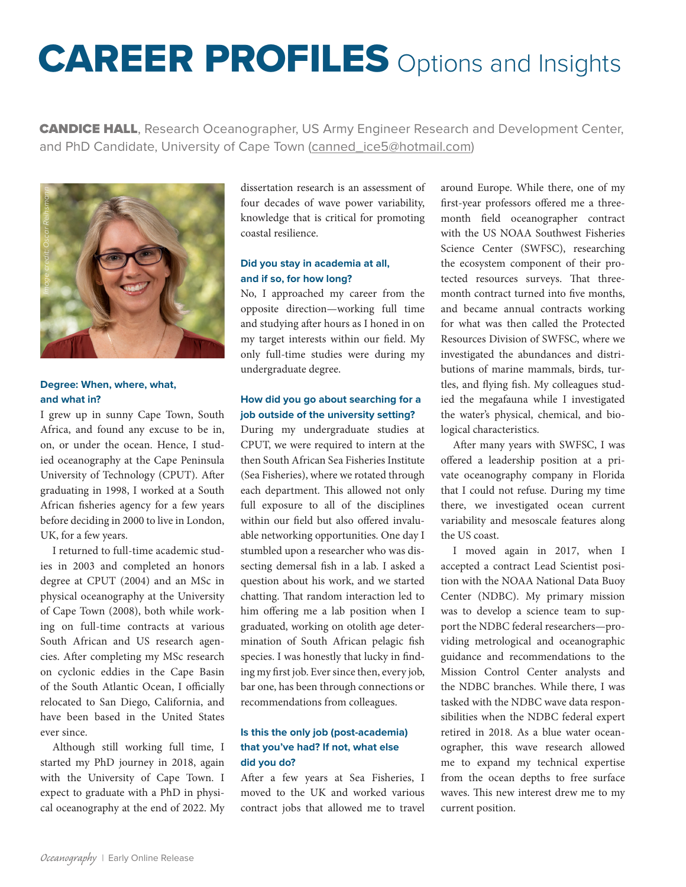# CAREER PROFILES Options and Insights

**CANDICE HALL**, Research Oceanographer, US Army Engineer Research and Development Center, and PhD Candidate, University of Cape Town [\(canned\\_ice5@hotmail.com\)](mailto:canned_ice5%40hotmail.com?subject=)



# **Degree: When, where, what, and what in?**

I grew up in sunny Cape Town, South Africa, and found any excuse to be in, on, or under the ocean. Hence, I studied oceanography at the Cape Peninsula University of Technology (CPUT). After graduating in 1998, I worked at a South African fisheries agency for a few years before deciding in 2000 to live in London, UK, for a few years.

I returned to full-time academic studies in 2003 and completed an honors degree at CPUT (2004) and an MSc in physical oceanography at the University of Cape Town (2008), both while working on full-time contracts at various South African and US research agencies. After completing my MSc research on cyclonic eddies in the Cape Basin of the South Atlantic Ocean, I officially relocated to San Diego, California, and have been based in the United States ever since.

Although still working full time, I started my PhD journey in 2018, again with the University of Cape Town. I expect to graduate with a PhD in physical oceanography at the end of 2022. My dissertation research is an assessment of four decades of wave power variability, knowledge that is critical for promoting coastal resilience.

## **Did you stay in academia at all, and if so, for how long?**

No, I approached my career from the opposite direction—working full time and studying after hours as I honed in on my target interests within our field. My only full-time studies were during my undergraduate degree.

# **How did you go about searching for a job outside of the university setting?**

During my undergraduate studies at CPUT, we were required to intern at the then South African Sea Fisheries Institute (Sea Fisheries), where we rotated through each department. This allowed not only full exposure to all of the disciplines within our field but also offered invaluable networking opportunities. One day I stumbled upon a researcher who was dissecting demersal fish in a lab. I asked a question about his work, and we started chatting. That random interaction led to him offering me a lab position when I graduated, working on otolith age determination of South African pelagic fish species. I was honestly that lucky in finding my first job. Ever since then, every job, bar one, has been through connections or recommendations from colleagues.

#### **Is this the only job (post-academia) that you've had? If not, what else did you do?**

After a few years at Sea Fisheries, I moved to the UK and worked various contract jobs that allowed me to travel around Europe. While there, one of my first-year professors offered me a threemonth field oceanographer contract with the US NOAA Southwest Fisheries Science Center (SWFSC), researching the ecosystem component of their protected resources surveys. That threemonth contract turned into five months, and became annual contracts working for what was then called the Protected Resources Division of SWFSC, where we investigated the abundances and distributions of marine mammals, birds, turtles, and flying fish. My colleagues studied the megafauna while I investigated the water's physical, chemical, and biological characteristics.

After many years with SWFSC, I was offered a leadership position at a private oceanography company in Florida that I could not refuse. During my time there, we investigated ocean current variability and mesoscale features along the US coast.

I moved again in 2017, when I accepted a contract Lead Scientist position with the NOAA National Data Buoy Center (NDBC). My primary mission was to develop a science team to support the NDBC federal researchers—providing metrological and oceanographic guidance and recommendations to the Mission Control Center analysts and the NDBC branches. While there, I was tasked with the NDBC wave data responsibilities when the NDBC federal expert retired in 2018. As a blue water oceanographer, this wave research allowed me to expand my technical expertise from the ocean depths to free surface waves. This new interest drew me to my current position.